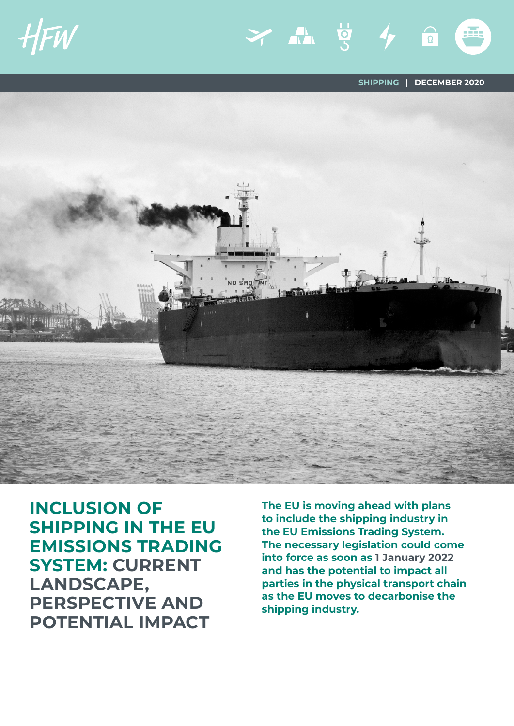HFW

**SHIPPING | DECEMBER 2020**

đά,

Y AN 5 4 6



**INCLUSION OF SHIPPING IN THE EU EMISSIONS TRADING SYSTEM: CURRENT LANDSCAPE, PERSPECTIVE AND POTENTIAL IMPACT** 

**The EU is moving ahead with plans to include the shipping industry in the EU Emissions Trading System. The necessary legislation could come into force as soon as 1 January 2022 and has the potential to impact all parties in the physical transport chain as the EU moves to decarbonise the shipping industry.**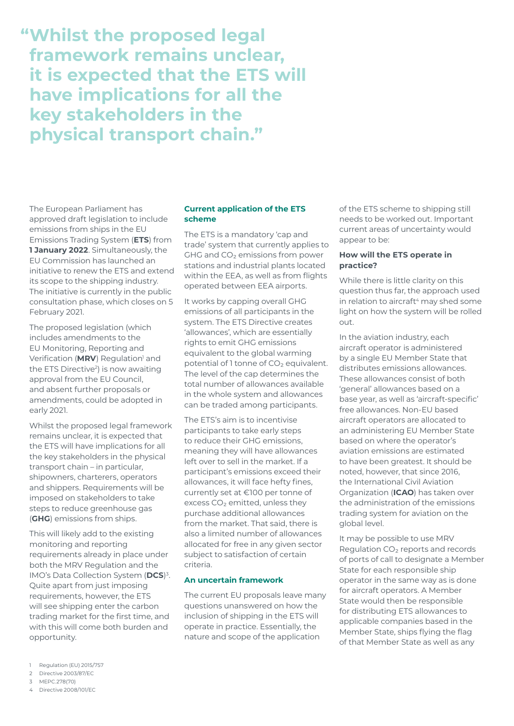**"Whilst the proposed legal framework remains unclear, it is expected that the ETS will have implications for all the key stakeholders in the physical transport chain."**

The European Parliament has approved draft legislation to include emissions from ships in the EU Emissions Trading System (**ETS**) from **1 January 2022**. Simultaneously, the EU Commission has launched an initiative to renew the ETS and extend its scope to the shipping industry. The initiative is currently in the public consultation phase, which closes on 5 February 2021.

The proposed legislation (which includes amendments to the EU Monitoring, Reporting and Verification (MRV) Regulation<sup>1</sup> and the ETS Directive<sup>2</sup>) is now awaiting approval from the EU Council, and absent further proposals or amendments, could be adopted in early 2021.

Whilst the proposed legal framework remains unclear, it is expected that the ETS will have implications for all the key stakeholders in the physical transport chain – in particular, shipowners, charterers, operators and shippers. Requirements will be imposed on stakeholders to take steps to reduce greenhouse gas (**GHG**) emissions from ships.

This will likely add to the existing monitoring and reporting requirements already in place under both the MRV Regulation and the IMO's Data Collection System (**DCS**) 3. Quite apart from just imposing requirements, however, the ETS will see shipping enter the carbon trading market for the first time, and with this will come both burden and opportunity.

# **Current application of the ETS scheme**

The ETS is a mandatory 'cap and trade' system that currently applies to GHG and CO<sub>2</sub> emissions from power stations and industrial plants located within the EEA, as well as from flights operated between EEA airports.

It works by capping overall GHG emissions of all participants in the system. The ETS Directive creates 'allowances', which are essentially rights to emit GHG emissions equivalent to the global warming potential of 1 tonne of CO<sub>2</sub> equivalent. The level of the cap determines the total number of allowances available in the whole system and allowances can be traded among participants.

The ETS's aim is to incentivise participants to take early steps to reduce their GHG emissions, meaning they will have allowances left over to sell in the market. If a participant's emissions exceed their allowances, it will face hefty fines, currently set at €100 per tonne of excess CO<sub>2</sub> emitted, unless they purchase additional allowances from the market. That said, there is also a limited number of allowances allocated for free in any given sector subject to satisfaction of certain criteria.

#### **An uncertain framework**

The current EU proposals leave many questions unanswered on how the inclusion of shipping in the ETS will operate in practice. Essentially, the nature and scope of the application

of the ETS scheme to shipping still needs to be worked out. Important current areas of uncertainty would appear to be:

## **How will the ETS operate in practice?**

While there is little clarity on this question thus far, the approach used in relation to aircraft<sup>4</sup> may shed some light on how the system will be rolled out.

In the aviation industry, each aircraft operator is administered by a single EU Member State that distributes emissions allowances. These allowances consist of both 'general' allowances based on a base year, as well as 'aircraft-specific' free allowances. Non-EU based aircraft operators are allocated to an administering EU Member State based on where the operator's aviation emissions are estimated to have been greatest. It should be noted, however, that since 2016, the International Civil Aviation Organization (**ICAO**) has taken over the administration of the emissions trading system for aviation on the global level.

It may be possible to use MRV Regulation CO<sub>2</sub> reports and records of ports of call to designate a Member State for each responsible ship operator in the same way as is done for aircraft operators. A Member State would then be responsible for distributing ETS allowances to applicable companies based in the Member State, ships flying the flag of that Member State as well as any

- 1 Regulation (EU) 2015/757
- 2 Directive 2003/87/EC
- 3 MEPC.278(70)
- 4 Directive 2008/101/EC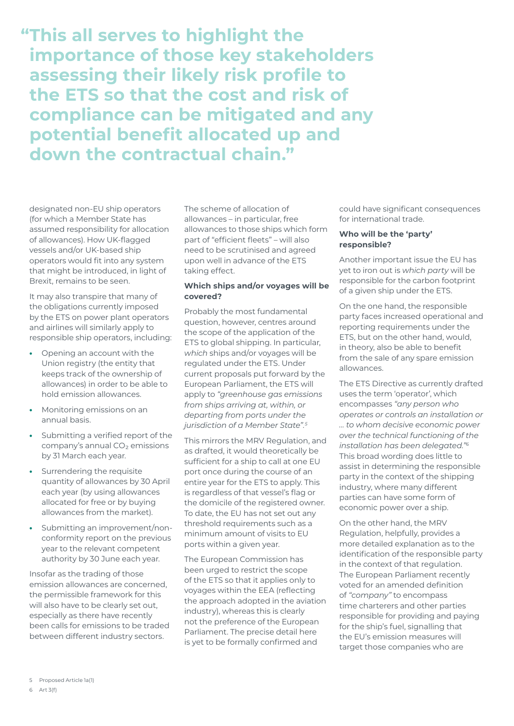**"This all serves to highlight the importance of those key stakeholders assessing their likely risk profile to the ETS so that the cost and risk of compliance can be mitigated and any potential benefit allocated up and down the contractual chain."**

designated non-EU ship operators (for which a Member State has assumed responsibility for allocation of allowances). How UK-flagged vessels and/or UK-based ship operators would fit into any system that might be introduced, in light of Brexit, remains to be seen.

It may also transpire that many of the obligations currently imposed by the ETS on power plant operators and airlines will similarly apply to responsible ship operators, including:

- **•** Opening an account with the Union registry (the entity that keeps track of the ownership of allowances) in order to be able to hold emission allowances.
- **•** Monitoring emissions on an annual basis.
- **•** Submitting a verified report of the company's annual CO<sub>2</sub> emissions by 31 March each year.
- **•** Surrendering the requisite quantity of allowances by 30 April each year (by using allowances allocated for free or by buying allowances from the market).
- **•** Submitting an improvement/nonconformity report on the previous year to the relevant competent authority by 30 June each year.

Insofar as the trading of those emission allowances are concerned, the permissible framework for this will also have to be clearly set out, especially as there have recently been calls for emissions to be traded between different industry sectors.

The scheme of allocation of allowances – in particular, free allowances to those ships which form part of "efficient fleets" – will also need to be scrutinised and agreed upon well in advance of the ETS taking effect.

## **Which ships and/or voyages will be covered?**

Probably the most fundamental question, however, centres around the scope of the application of the ETS to global shipping. In particular, *which* ships and/or voyages will be regulated under the ETS. Under current proposals put forward by the European Parliament, the ETS will apply to *"greenhouse gas emissions from ships arriving at, within, or departing from ports under the jurisdiction of a Member State".5*

This mirrors the MRV Regulation, and as drafted, it would theoretically be sufficient for a ship to call at one EU port once during the course of an entire year for the ETS to apply. This is regardless of that vessel's flag or the domicile of the registered owner. To date, the EU has not set out any threshold requirements such as a minimum amount of visits to EU ports within a given year.

The European Commission has been urged to restrict the scope of the ETS so that it applies only to voyages within the EEA (reflecting the approach adopted in the aviation industry), whereas this is clearly not the preference of the European Parliament. The precise detail here is yet to be formally confirmed and

could have significant consequences for international trade.

## **Who will be the 'party' responsible?**

Another important issue the EU has yet to iron out is *which party* will be responsible for the carbon footprint of a given ship under the ETS.

On the one hand, the responsible party faces increased operational and reporting requirements under the ETS, but on the other hand, would, in theory, also be able to benefit from the sale of any spare emission allowances.

The ETS Directive as currently drafted uses the term 'operator', which encompasses *"any person who operates or controls an installation or … to whom decisive economic power over the technical functioning of the installation has been delegated."6* This broad wording does little to assist in determining the responsible party in the context of the shipping industry, where many different parties can have some form of economic power over a ship.

On the other hand, the MRV Regulation, helpfully, provides a more detailed explanation as to the identification of the responsible party in the context of that regulation. The European Parliament recently voted for an amended definition of *"company"* to encompass time charterers and other parties responsible for providing and paying for the ship's fuel, signalling that the EU's emission measures will target those companies who are